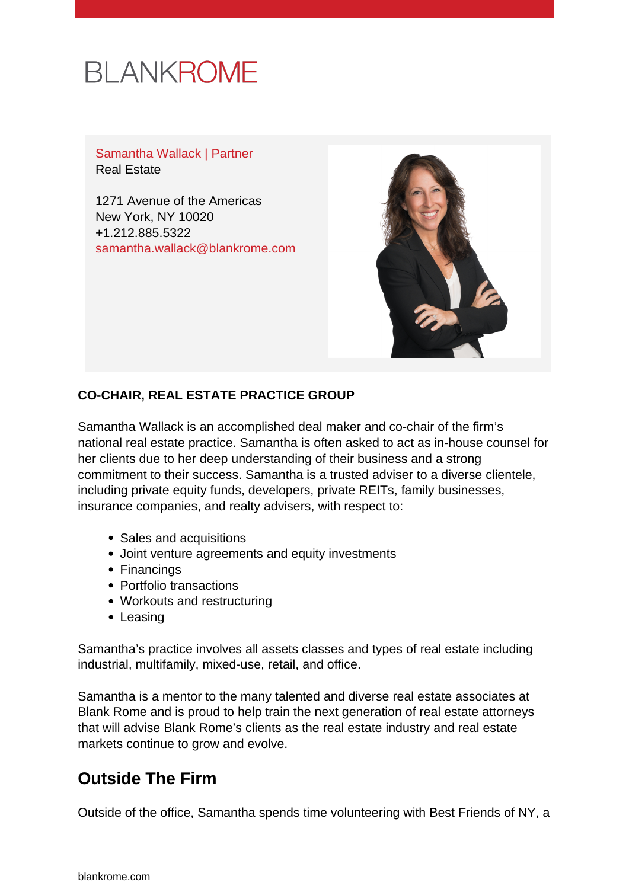# **BLANKROME**

Samantha Wallack | Partner Real Estate

1271 Avenue of the Americas New York, NY 10020 +1.212.885.5322 [samantha.wallack@blankrome.com](mailto:samantha.wallack@blankrome.com)



#### **CO-CHAIR, REAL ESTATE PRACTICE GROUP**

Samantha Wallack is an accomplished deal maker and co-chair of the firm's national real estate practice. Samantha is often asked to act as in-house counsel for her clients due to her deep understanding of their business and a strong commitment to their success. Samantha is a trusted adviser to a diverse clientele, including private equity funds, developers, private REITs, family businesses, insurance companies, and realty advisers, with respect to:

- Sales and acquisitions
- Joint venture agreements and equity investments
- Financings
- Portfolio transactions
- Workouts and restructuring
- Leasing

Samantha's practice involves all assets classes and types of real estate including industrial, multifamily, mixed-use, retail, and office.

Samantha is a mentor to the many talented and diverse real estate associates at Blank Rome and is proud to help train the next generation of real estate attorneys that will advise Blank Rome's clients as the real estate industry and real estate markets continue to grow and evolve.

# **Outside The Firm**

Outside of the office, Samantha spends time volunteering with Best Friends of NY, a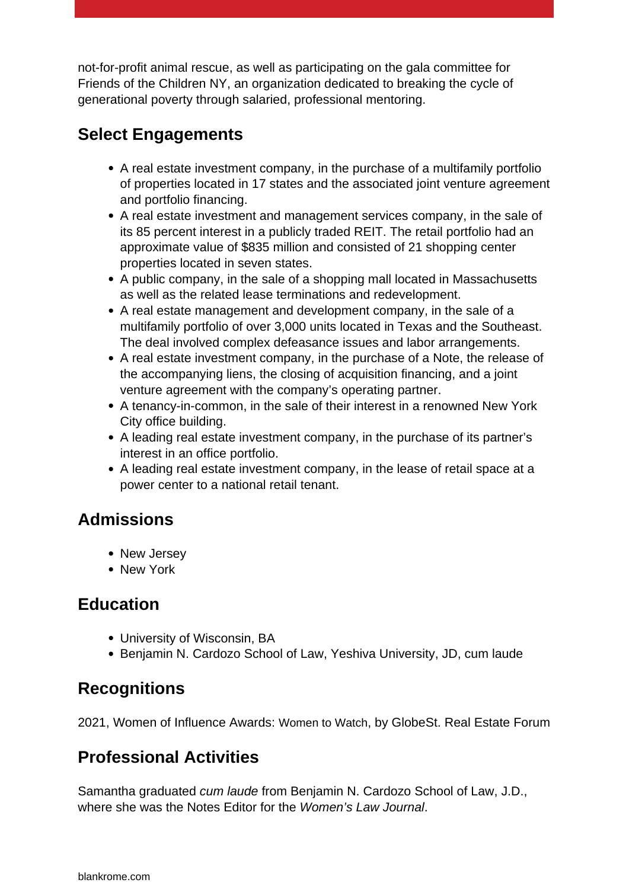not-for-profit animal rescue, as well as participating on the gala committee for Friends of the Children NY, an organization dedicated to breaking the cycle of generational poverty through salaried, professional mentoring.

## **Select Engagements**

- A real estate investment company, in the purchase of a multifamily portfolio of properties located in 17 states and the associated joint venture agreement and portfolio financing.
- A real estate investment and management services company, in the sale of its 85 percent interest in a publicly traded REIT. The retail portfolio had an approximate value of \$835 million and consisted of 21 shopping center properties located in seven states.
- A public company, in the sale of a shopping mall located in Massachusetts as well as the related lease terminations and redevelopment.
- A real estate management and development company, in the sale of a multifamily portfolio of over 3,000 units located in Texas and the Southeast. The deal involved complex defeasance issues and labor arrangements.
- A real estate investment company, in the purchase of a Note, the release of the accompanying liens, the closing of acquisition financing, and a joint venture agreement with the company's operating partner.
- A tenancy-in-common, in the sale of their interest in a renowned New York City office building.
- A leading real estate investment company, in the purchase of its partner's interest in an office portfolio.
- A leading real estate investment company, in the lease of retail space at a power center to a national retail tenant.

### **Admissions**

- New Jersey
- New York

### **Education**

- University of Wisconsin, BA
- Benjamin N. Cardozo School of Law, Yeshiva University, JD, cum laude

# **Recognitions**

2021, Women of Influence Awards: Women to Watch, by GlobeSt. Real Estate Forum

# **Professional Activities**

Samantha graduated cum laude from Benjamin N. Cardozo School of Law, J.D., where she was the Notes Editor for the Women's Law Journal.